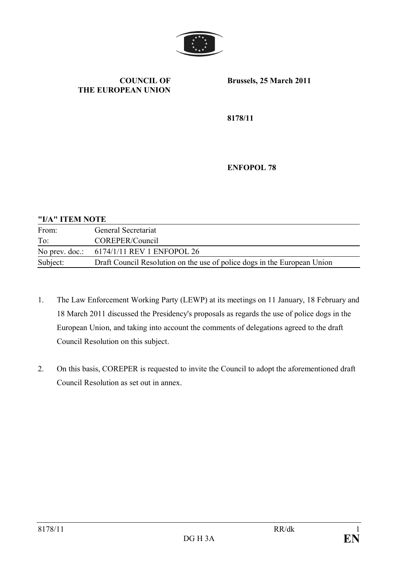

#### **COUNCIL OF THE EUROPEAN UNION**

**Brussels, 25 March 2011**

**8178/11**

**ENFOPOL 78**

#### **"I/A" ITEM NOTE**

| From:    | General Secretariat                                                      |
|----------|--------------------------------------------------------------------------|
| To:      | COREPER/Council                                                          |
|          | No prev. doc.: $6174/1/11$ REV 1 ENFOPOL 26                              |
| Subject: | Draft Council Resolution on the use of police dogs in the European Union |

- 1. The Law Enforcement Working Party (LEWP) at its meetings on 11 January, 18 February and 18 March 2011 discussed the Presidency's proposals as regards the use of police dogs in the European Union, and taking into account the comments of delegations agreed to the draft Council Resolution on this subject.
- 2. On this basis, COREPER is requested to invite the Council to adopt the aforementioned draft Council Resolution as set out in annex.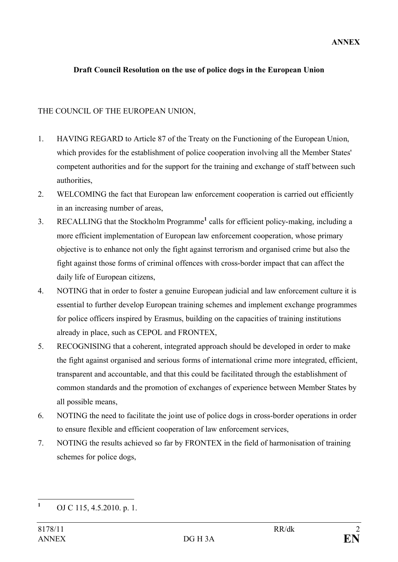### **Draft Council Resolution on the use of police dogs in the European Union**

### THE COUNCIL OF THE EUROPEAN UNION,

- 1. HAVING REGARD to Article 87 of the Treaty on the Functioning of the European Union, which provides for the establishment of police cooperation involving all the Member States' competent authorities and for the support for the training and exchange of staff between such authorities,
- 2. WELCOMING the fact that European law enforcement cooperation is carried out efficiently in an increasing number of areas,
- 3. RECALLING that the Stockholm Programme**<sup>1</sup>** calls for efficient policy-making, including a more efficient implementation of European law enforcement cooperation, whose primary objective is to enhance not only the fight against terrorism and organised crime but also the fight against those forms of criminal offences with cross-border impact that can affect the daily life of European citizens,
- 4. NOTING that in order to foster a genuine European judicial and law enforcement culture it is essential to further develop European training schemes and implement exchange programmes for police officers inspired by Erasmus, building on the capacities of training institutions already in place, such as CEPOL and FRONTEX,
- 5. RECOGNISING that a coherent, integrated approach should be developed in order to make the fight against organised and serious forms of international crime more integrated, efficient, transparent and accountable, and that this could be facilitated through the establishment of common standards and the promotion of exchanges of experience between Member States by all possible means,
- 6. NOTING the need to facilitate the joint use of police dogs in cross-border operations in order to ensure flexible and efficient cooperation of law enforcement services,
- 7. NOTING the results achieved so far by FRONTEX in the field of harmonisation of training schemes for police dogs,

**<sup>1</sup>** OJ C 115, 4.5.2010. p. 1.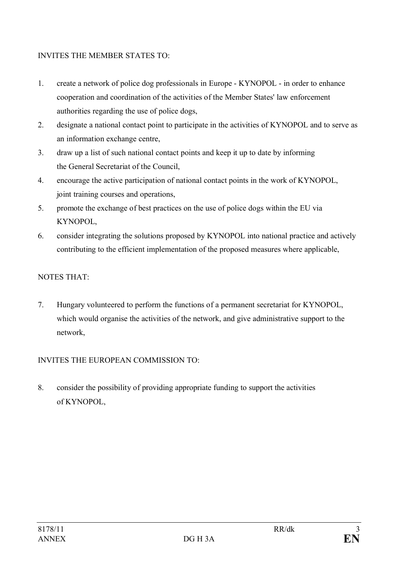### INVITES THE MEMBER STATES TO:

- 1. create a network of police dog professionals in Europe KYNOPOL in order to enhance cooperation and coordination of the activities of the Member States' law enforcement authorities regarding the use of police dogs,
- 2. designate a national contact point to participate in the activities of KYNOPOL and to serve as an information exchange centre,
- 3. draw up a list of such national contact points and keep it up to date by informing the General Secretariat of the Council,
- 4. encourage the active participation of national contact points in the work of KYNOPOL, joint training courses and operations,
- 5. promote the exchange of best practices on the use of police dogs within the EU via KYNOPOL,
- 6. consider integrating the solutions proposed by KYNOPOL into national practice and actively contributing to the efficient implementation of the proposed measures where applicable,

# NOTES THAT:

7. Hungary volunteered to perform the functions of a permanent secretariat for KYNOPOL, which would organise the activities of the network, and give administrative support to the network,

## INVITES THE EUROPEAN COMMISSION TO:

8. consider the possibility of providing appropriate funding to support the activities of KYNOPOL,